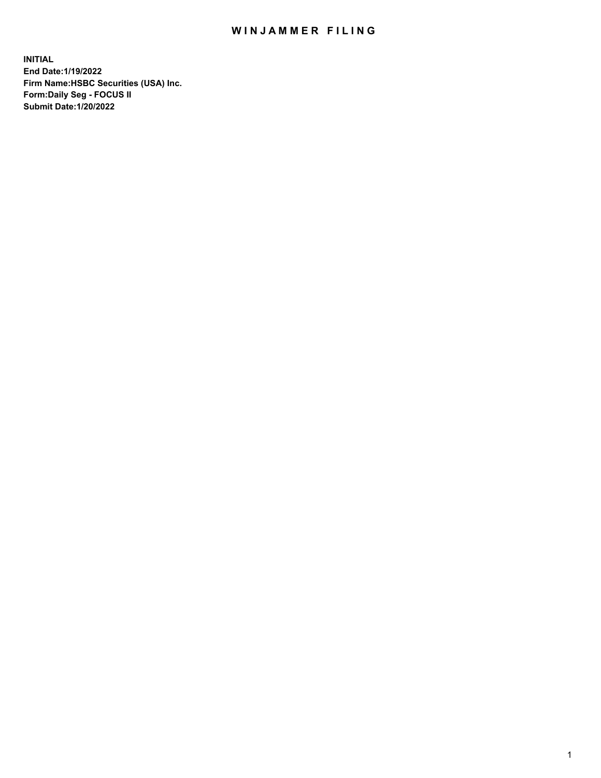## WIN JAMMER FILING

**INITIAL End Date:1/19/2022 Firm Name:HSBC Securities (USA) Inc. Form:Daily Seg - FOCUS II Submit Date:1/20/2022**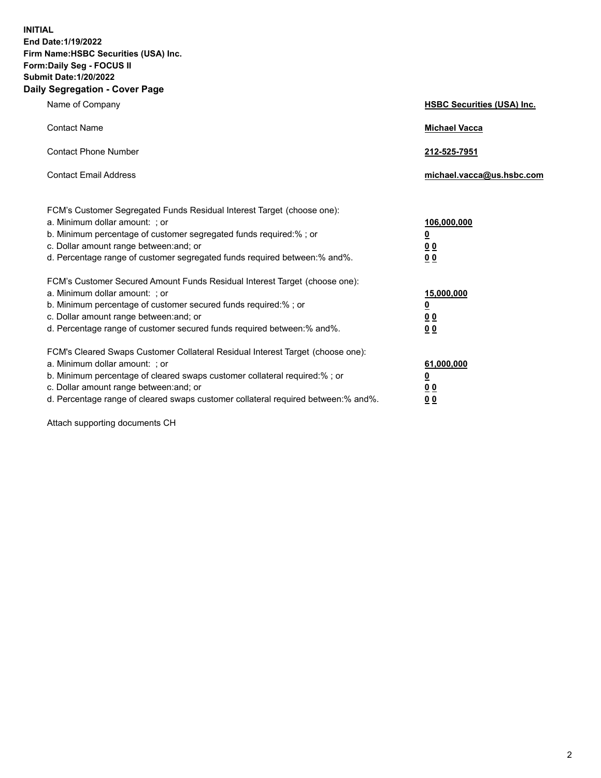**INITIAL End Date:1/19/2022 Firm Name:HSBC Securities (USA) Inc. Form:Daily Seg - FOCUS II Submit Date:1/20/2022 Daily Segregation - Cover Page**

| Name of Company                                                                                                                                                                                                                                                                                                               | <b>HSBC Securities (USA) Inc.</b>                           |
|-------------------------------------------------------------------------------------------------------------------------------------------------------------------------------------------------------------------------------------------------------------------------------------------------------------------------------|-------------------------------------------------------------|
| <b>Contact Name</b>                                                                                                                                                                                                                                                                                                           | <b>Michael Vacca</b>                                        |
| <b>Contact Phone Number</b>                                                                                                                                                                                                                                                                                                   | 212-525-7951                                                |
| <b>Contact Email Address</b>                                                                                                                                                                                                                                                                                                  | michael.vacca@us.hsbc.com                                   |
| FCM's Customer Segregated Funds Residual Interest Target (choose one):<br>a. Minimum dollar amount: ; or<br>b. Minimum percentage of customer segregated funds required:% ; or<br>c. Dollar amount range between: and; or<br>d. Percentage range of customer segregated funds required between:% and%.                        | 106,000,000<br><u>0</u><br>0 <sub>0</sub><br>0 <sub>0</sub> |
| FCM's Customer Secured Amount Funds Residual Interest Target (choose one):<br>a. Minimum dollar amount: ; or<br>b. Minimum percentage of customer secured funds required:%; or<br>c. Dollar amount range between: and; or<br>d. Percentage range of customer secured funds required between: % and %.                         | 15,000,000<br><u>0</u><br>0 <sub>0</sub><br>0 <sub>0</sub>  |
| FCM's Cleared Swaps Customer Collateral Residual Interest Target (choose one):<br>a. Minimum dollar amount: : or<br>b. Minimum percentage of cleared swaps customer collateral required:%; or<br>c. Dollar amount range between: and; or<br>d. Percentage range of cleared swaps customer collateral required between:% and%. | 61,000,000<br><u>0</u><br>00<br>00                          |

Attach supporting documents CH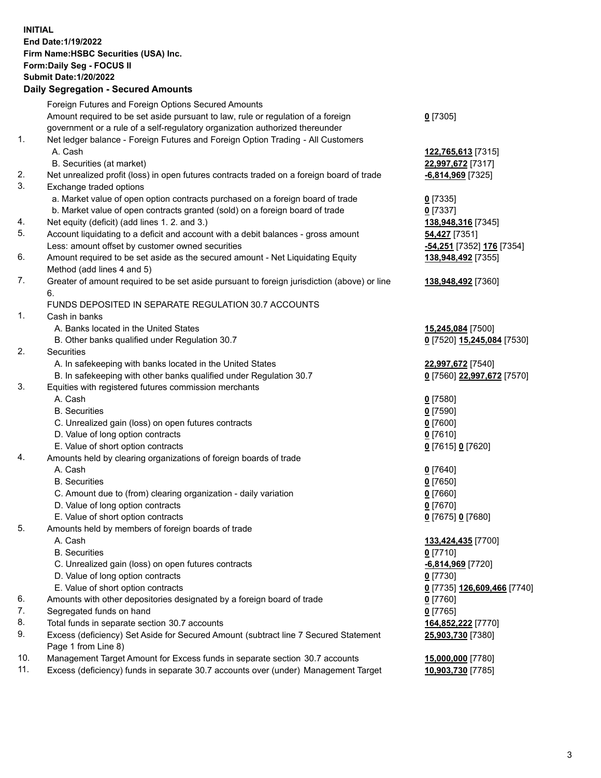**INITIAL End Date:1/19/2022 Firm Name:HSBC Securities (USA) Inc. Form:Daily Seg - FOCUS II Submit Date:1/20/2022 Daily Segregation - Secured Amounts** Foreign Futures and Foreign Options Secured Amounts Amount required to be set aside pursuant to law, rule or regulation of a foreign government or a rule of a self-regulatory organization authorized thereunder **0** [7305] 1. Net ledger balance - Foreign Futures and Foreign Option Trading - All Customers A. Cash **122,765,613** [7315] B. Securities (at market) **22,997,672** [7317] 2. Net unrealized profit (loss) in open futures contracts traded on a foreign board of trade **-6,814,969** [7325] 3. Exchange traded options a. Market value of open option contracts purchased on a foreign board of trade **0** [7335] b. Market value of open contracts granted (sold) on a foreign board of trade **0** [7337] 4. Net equity (deficit) (add lines 1. 2. and 3.) **138,948,316** [7345] 5. Account liquidating to a deficit and account with a debit balances - gross amount **54,427** [7351] Less: amount offset by customer owned securities **-54,251** [7352] **176** [7354] 6. Amount required to be set aside as the secured amount - Net Liquidating Equity Method (add lines 4 and 5) **138,948,492** [7355] 7. Greater of amount required to be set aside pursuant to foreign jurisdiction (above) or line 6. **138,948,492** [7360] FUNDS DEPOSITED IN SEPARATE REGULATION 30.7 ACCOUNTS 1. Cash in banks A. Banks located in the United States **15,245,084** [7500] B. Other banks qualified under Regulation 30.7 **0** [7520] **15,245,084** [7530] 2. Securities A. In safekeeping with banks located in the United States **22,997,672** [7540] B. In safekeeping with other banks qualified under Regulation 30.7 **0** [7560] **22,997,672** [7570] 3. Equities with registered futures commission merchants A. Cash **0** [7580] B. Securities **0** [7590] C. Unrealized gain (loss) on open futures contracts **0** [7600] D. Value of long option contracts **0** [7610] E. Value of short option contracts **0** [7615] **0** [7620] 4. Amounts held by clearing organizations of foreign boards of trade A. Cash **0** [7640] B. Securities **0** [7650] C. Amount due to (from) clearing organization - daily variation **0** [7660] D. Value of long option contracts **0** [7670] E. Value of short option contracts **0** [7675] **0** [7680] 5. Amounts held by members of foreign boards of trade A. Cash **133,424,435** [7700] B. Securities **0** [7710] C. Unrealized gain (loss) on open futures contracts **-6,814,969** [7720] D. Value of long option contracts **0** [7730] E. Value of short option contracts **0** [7735] **126,609,466** [7740] 6. Amounts with other depositories designated by a foreign board of trade **0** [7760] 7. Segregated funds on hand **0** [7765] 8. Total funds in separate section 30.7 accounts **164,852,222** [7770] 9. Excess (deficiency) Set Aside for Secured Amount (subtract line 7 Secured Statement Page 1 from Line 8) **25,903,730** [7380] 10. Management Target Amount for Excess funds in separate section 30.7 accounts **15,000,000** [7780]

11. Excess (deficiency) funds in separate 30.7 accounts over (under) Management Target **10,903,730** [7785]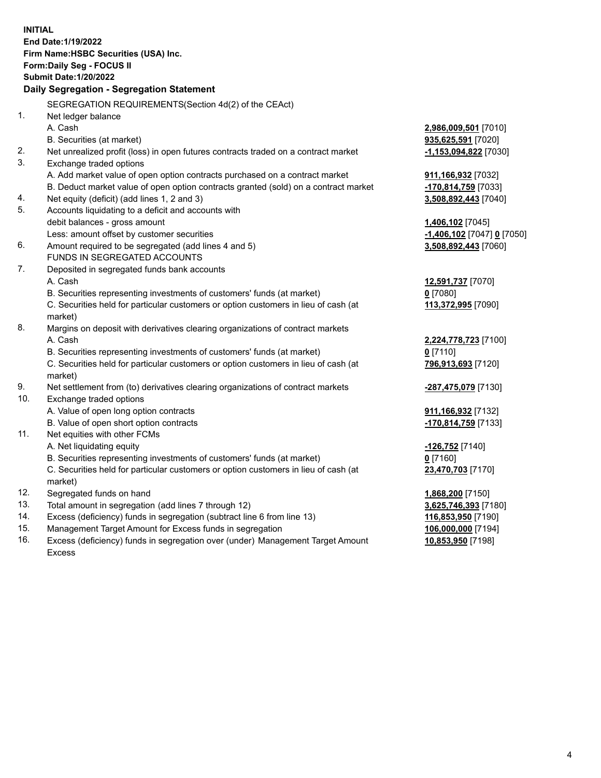|     | <b>INITIAL</b>                                                                                                                     |                                            |
|-----|------------------------------------------------------------------------------------------------------------------------------------|--------------------------------------------|
|     | End Date: 1/19/2022                                                                                                                |                                            |
|     | Firm Name: HSBC Securities (USA) Inc.                                                                                              |                                            |
|     | Form: Daily Seg - FOCUS II                                                                                                         |                                            |
|     | <b>Submit Date: 1/20/2022</b>                                                                                                      |                                            |
|     | Daily Segregation - Segregation Statement                                                                                          |                                            |
|     | SEGREGATION REQUIREMENTS(Section 4d(2) of the CEAct)                                                                               |                                            |
| 1.  |                                                                                                                                    |                                            |
|     | Net ledger balance<br>A. Cash                                                                                                      |                                            |
|     | B. Securities (at market)                                                                                                          | 2,986,009,501 [7010]<br>935,625,591 [7020] |
| 2.  |                                                                                                                                    |                                            |
| 3.  | Net unrealized profit (loss) in open futures contracts traded on a contract market                                                 | -1,153,094,822 [7030]                      |
|     | Exchange traded options                                                                                                            |                                            |
|     | A. Add market value of open option contracts purchased on a contract market                                                        | 911,166,932 [7032]                         |
| 4.  | B. Deduct market value of open option contracts granted (sold) on a contract market<br>Net equity (deficit) (add lines 1, 2 and 3) | -170,814,759 [7033]                        |
| 5.  | Accounts liquidating to a deficit and accounts with                                                                                | 3,508,892,443 [7040]                       |
|     | debit balances - gross amount                                                                                                      | 1,406,102 [7045]                           |
|     | Less: amount offset by customer securities                                                                                         | -1,406,102 [7047] 0 [7050]                 |
| 6.  | Amount required to be segregated (add lines 4 and 5)                                                                               | 3,508,892,443 [7060]                       |
|     | FUNDS IN SEGREGATED ACCOUNTS                                                                                                       |                                            |
| 7.  | Deposited in segregated funds bank accounts                                                                                        |                                            |
|     | A. Cash                                                                                                                            | 12,591,737 [7070]                          |
|     | B. Securities representing investments of customers' funds (at market)                                                             | $0$ [7080]                                 |
|     | C. Securities held for particular customers or option customers in lieu of cash (at                                                | 113,372,995 [7090]                         |
|     | market)                                                                                                                            |                                            |
| 8.  | Margins on deposit with derivatives clearing organizations of contract markets                                                     |                                            |
|     | A. Cash                                                                                                                            | 2,224,778,723 [7100]                       |
|     | B. Securities representing investments of customers' funds (at market)                                                             | $0$ [7110]                                 |
|     | C. Securities held for particular customers or option customers in lieu of cash (at                                                | 796,913,693 [7120]                         |
|     | market)                                                                                                                            |                                            |
| 9.  | Net settlement from (to) derivatives clearing organizations of contract markets                                                    | -287,475,079 [7130]                        |
| 10. | Exchange traded options                                                                                                            |                                            |
|     | A. Value of open long option contracts                                                                                             | 911, 166, 932 [7132]                       |
|     | B. Value of open short option contracts                                                                                            | -170,814,759 [7133]                        |
| 11. | Net equities with other FCMs                                                                                                       |                                            |
|     | A. Net liquidating equity                                                                                                          | -126,752 <sup>[7140]</sup>                 |
|     | B. Securities representing investments of customers' funds (at market)                                                             | $0$ [7160]                                 |
|     | C. Securities held for particular customers or option customers in lieu of cash (at                                                | 23,470,703 [7170]                          |
|     | market)                                                                                                                            |                                            |
| 12. | Segregated funds on hand                                                                                                           | 1,868,200 [7150]                           |
| 13. | Total amount in segregation (add lines 7 through 12)                                                                               | 3,625,746,393 [7180]                       |
| 14. | Excess (deficiency) funds in segregation (subtract line 6 from line 13)                                                            | 116,853,950 [7190]                         |
| 15. | Management Target Amount for Excess funds in segregation                                                                           | 106,000,000 [7194]                         |
| 16. | Excess (deficiency) funds in segregation over (under) Management Target Amount                                                     | 10,853,950 [7198]                          |

16. Excess (deficiency) funds in segregation over (under) Management Target Amount Excess